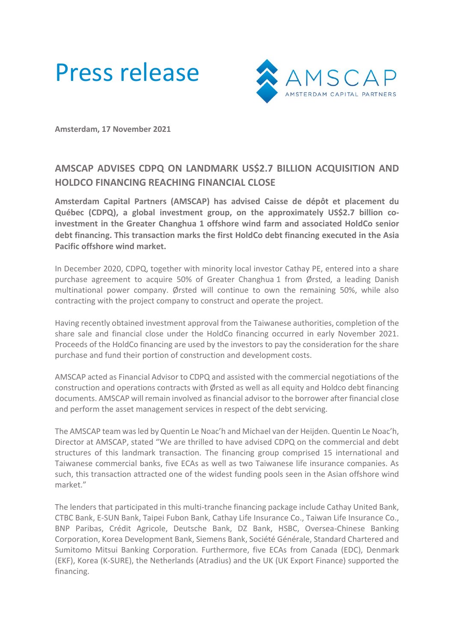



**Amsterdam, 17 November 2021**

## **AMSCAP ADVISES CDPQ ON LANDMARK US\$2.7 BILLION ACQUISITION AND HOLDCO FINANCING REACHING FINANCIAL CLOSE**

**Amsterdam Capital Partners (AMSCAP) has advised Caisse de dépôt et placement du Québec (CDPQ), a global investment group, on the approximately US\$2.7 billion coinvestment in the Greater Changhua 1 offshore wind farm and associated HoldCo senior debt financing. This transaction marks the first HoldCo debt financing executed in the Asia Pacific offshore wind market.**

In December 2020, CDPQ, together with minority local investor Cathay PE, entered into a share purchase agreement to acquire 50% of Greater Changhua 1 from Ørsted, a leading Danish multinational power company. Ørsted will continue to own the remaining 50%, while also contracting with the project company to construct and operate the project.

Having recently obtained investment approval from the Taiwanese authorities, completion of the share sale and financial close under the HoldCo financing occurred in early November 2021. Proceeds of the HoldCo financing are used by the investors to pay the consideration for the share purchase and fund their portion of construction and development costs.

AMSCAP acted as Financial Advisor to CDPQ and assisted with the commercial negotiations of the construction and operations contracts with Ørsted as well as all equity and Holdco debt financing documents. AMSCAP will remain involved as financial advisor to the borrower after financial close and perform the asset management services in respect of the debt servicing.

The AMSCAP team was led by Quentin Le Noac'h and Michael van der Heijden. Quentin Le Noac'h, Director at AMSCAP, stated "We are thrilled to have advised CDPQ on the commercial and debt structures of this landmark transaction. The financing group comprised 15 international and Taiwanese commercial banks, five ECAs as well as two Taiwanese life insurance companies. As such, this transaction attracted one of the widest funding pools seen in the Asian offshore wind market."

The lenders that participated in this multi-tranche financing package include Cathay United Bank, CTBC Bank, E-SUN Bank, Taipei Fubon Bank, Cathay Life Insurance Co., Taiwan Life Insurance Co., BNP Paribas, Crédit Agricole, Deutsche Bank, DZ Bank, HSBC, Oversea-Chinese Banking Corporation, Korea Development Bank, Siemens Bank, Société Générale, Standard Chartered and Sumitomo Mitsui Banking Corporation. Furthermore, five ECAs from Canada (EDC), Denmark (EKF), Korea (K-SURE), the Netherlands (Atradius) and the UK (UK Export Finance) supported the financing.